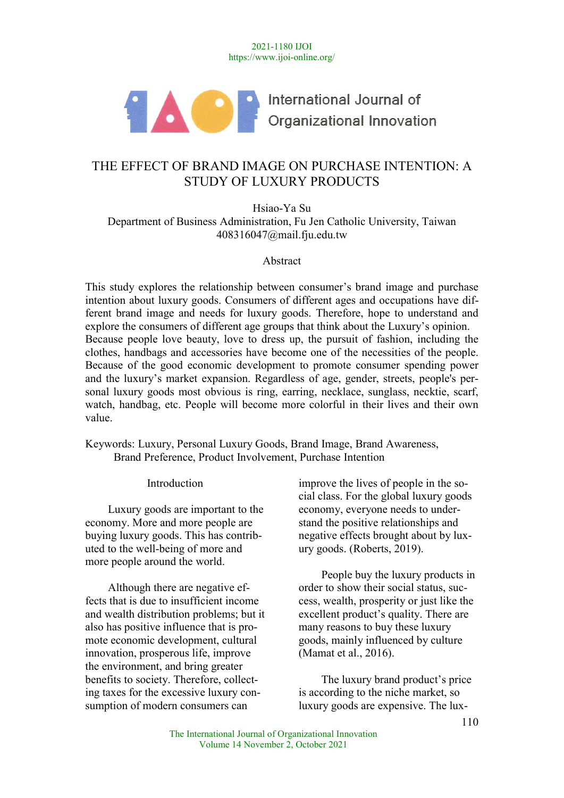2021-1180 IJOI https://www.ijoi-online.org/



International Journal of Organizational Innovation

# THE EFFECT OF BRAND IMAGE ON PURCHASE INTENTION: A STUDY OF LUXURY PRODUCTS

Hsiao-Ya Su Department of Business Administration, Fu Jen Catholic University, Taiwan 408316047@mail.fju.edu.tw

Abstract

This study explores the relationship between consumer's brand image and purchase intention about luxury goods. Consumers of different ages and occupations have different brand image and needs for luxury goods. Therefore, hope to understand and explore the consumers of different age groups that think about the Luxury's opinion. Because people love beauty, love to dress up, the pursuit of fashion, including the clothes, handbags and accessories have become one of the necessities of the people. Because of the good economic development to promote consumer spending power and the luxury's market expansion. Regardless of age, gender, streets, people's personal luxury goods most obvious is ring, earring, necklace, sunglass, necktie, scarf, watch, handbag, etc. People will become more colorful in their lives and their own value.

Keywords: Luxury, Personal Luxury Goods, Brand Image, Brand Awareness, Brand Preference, Product Involvement, Purchase Intention

Introduction

Luxury goods are important to the economy. More and more people are buying luxury goods. This has contributed to the well-being of more and more people around the world.

Although there are negative effects that is due to insufficient income and wealth distribution problems; but it also has positive influence that is promote economic development, cultural innovation, prosperous life, improve the environment, and bring greater benefits to society. Therefore, collecting taxes for the excessive luxury consumption of modern consumers can

improve the lives of people in the social class. For the global luxury goods economy, everyone needs to understand the positive relationships and negative effects brought about by luxury goods. (Roberts, 2019).

People buy the luxury products in order to show their social status, success, wealth, prosperity or just like the excellent product's quality. There are many reasons to buy these luxury goods, mainly influenced by culture (Mamat et al., 2016).

The luxury brand product's price is according to the niche market, so luxury goods are expensive. The lux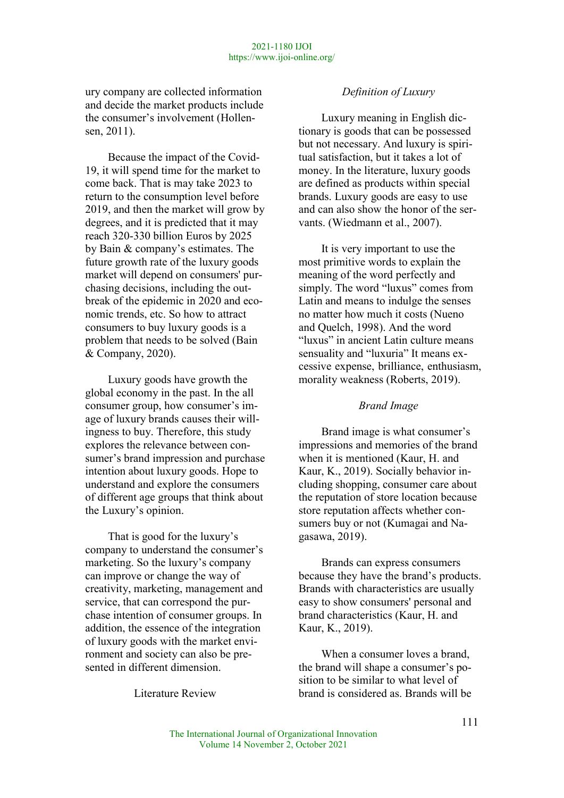ury company are collected information and decide the market products include the consumer's involvement (Hollensen, 2011).

Because the impact of the Covid-19, it will spend time for the market to come back. That is may take 2023 to return to the consumption level before 2019, and then the market will grow by degrees, and it is predicted that it may reach 320-330 billion Euros by 2025 by Bain & company's estimates. The future growth rate of the luxury goods market will depend on consumers' purchasing decisions, including the outbreak of the epidemic in 2020 and economic trends, etc. So how to attract consumers to buy luxury goods is a problem that needs to be solved (Bain & Company, 2020).

Luxury goods have growth the global economy in the past. In the all consumer group, how consumer's image of luxury brands causes their willingness to buy. Therefore, this study explores the relevance between consumer's brand impression and purchase intention about luxury goods. Hope to understand and explore the consumers of different age groups that think about the Luxury's opinion.

That is good for the luxury's company to understand the consumer's marketing. So the luxury's company can improve or change the way of creativity, marketing, management and service, that can correspond the purchase intention of consumer groups. In addition, the essence of the integration of luxury goods with the market environment and society can also be presented in different dimension.

Literature Review

#### Definition of Luxury

Luxury meaning in English dictionary is goods that can be possessed but not necessary. And luxury is spiritual satisfaction, but it takes a lot of money. In the literature, luxury goods are defined as products within special brands. Luxury goods are easy to use and can also show the honor of the servants. (Wiedmann et al., 2007).

It is very important to use the most primitive words to explain the meaning of the word perfectly and simply. The word "luxus" comes from Latin and means to indulge the senses no matter how much it costs (Nueno and Quelch, 1998). And the word "luxus" in ancient Latin culture means sensuality and "luxuria" It means excessive expense, brilliance, enthusiasm, morality weakness (Roberts, 2019).

#### Brand Image

Brand image is what consumer's impressions and memories of the brand when it is mentioned (Kaur, H. and Kaur, K., 2019). Socially behavior including shopping, consumer care about the reputation of store location because store reputation affects whether consumers buy or not (Kumagai and Nagasawa, 2019).

Brands can express consumers because they have the brand's products. Brands with characteristics are usually easy to show consumers' personal and brand characteristics (Kaur, H. and Kaur, K., 2019).

When a consumer loves a brand, the brand will shape a consumer's position to be similar to what level of brand is considered as. Brands will be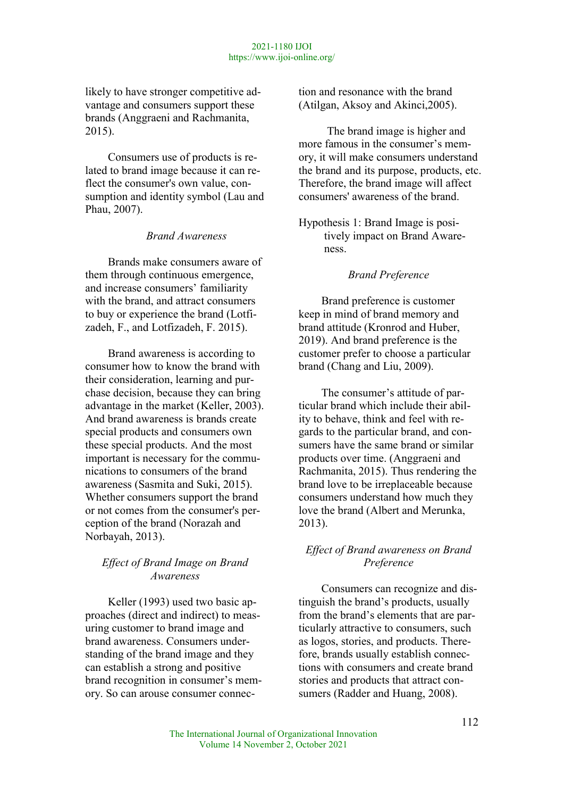likely to have stronger competitive advantage and consumers support these brands (Anggraeni and Rachmanita, 2015).

Consumers use of products is related to brand image because it can reflect the consumer's own value, consumption and identity symbol (Lau and Phau, 2007).

Brand Awareness

Brands make consumers aware of them through continuous emergence, and increase consumers' familiarity with the brand, and attract consumers to buy or experience the brand (Lotfizadeh, F., and Lotfizadeh, F. 2015).

Brand awareness is according to consumer how to know the brand with their consideration, learning and purchase decision, because they can bring advantage in the market (Keller, 2003). And brand awareness is brands create special products and consumers own these special products. And the most important is necessary for the communications to consumers of the brand awareness (Sasmita and Suki, 2015). Whether consumers support the brand or not comes from the consumer's perception of the brand (Norazah and Norbayah, 2013).

# Effect of Brand Image on Brand Awareness

Keller (1993) used two basic approaches (direct and indirect) to measuring customer to brand image and brand awareness. Consumers understanding of the brand image and they can establish a strong and positive brand recognition in consumer's memory. So can arouse consumer connection and resonance with the brand (Atilgan, Aksoy and Akinci,2005).

 The brand image is higher and more famous in the consumer's memory, it will make consumers understand the brand and its purpose, products, etc. Therefore, the brand image will affect consumers' awareness of the brand.

Hypothesis 1: Brand Image is positively impact on Brand Awareness.

### Brand Preference

Brand preference is customer keep in mind of brand memory and brand attitude (Kronrod and Huber, 2019). And brand preference is the customer prefer to choose a particular brand (Chang and Liu, 2009).

The consumer's attitude of particular brand which include their ability to behave, think and feel with regards to the particular brand, and consumers have the same brand or similar products over time. (Anggraeni and Rachmanita, 2015). Thus rendering the brand love to be irreplaceable because consumers understand how much they love the brand (Albert and Merunka, 2013).

# Effect of Brand awareness on Brand Preference

Consumers can recognize and distinguish the brand's products, usually from the brand's elements that are particularly attractive to consumers, such as logos, stories, and products. Therefore, brands usually establish connections with consumers and create brand stories and products that attract consumers (Radder and Huang, 2008).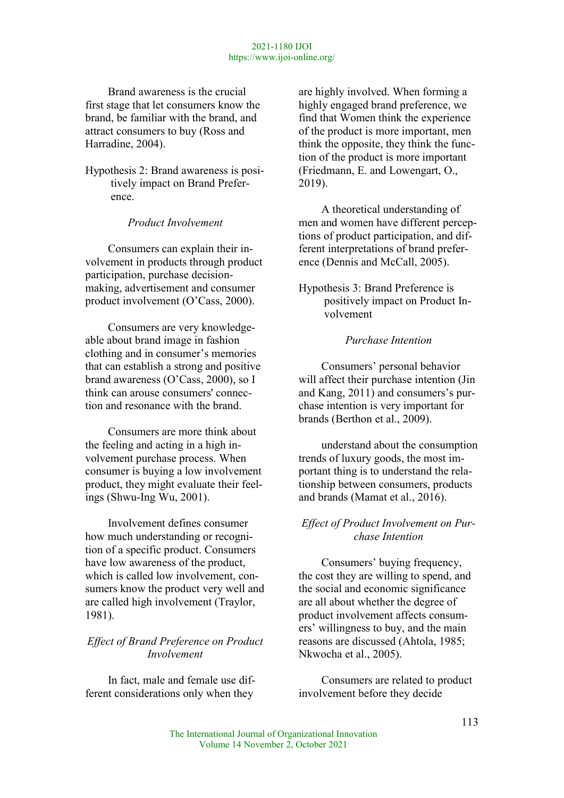Brand awareness is the crucial first stage that let consumers know the brand, be familiar with the brand, and attract consumers to buy (Ross and Harradine, 2004).

Hypothesis 2: Brand awareness is positively impact on Brand Preference.

Product Involvement

Consumers can explain their involvement in products through product participation, purchase decisionmaking, advertisement and consumer product involvement (O'Cass, 2000).

Consumers are very knowledgeable about brand image in fashion clothing and in consumer's memories that can establish a strong and positive brand awareness (O'Cass, 2000), so I think can arouse consumers' connection and resonance with the brand.

Consumers are more think about the feeling and acting in a high involvement purchase process. When consumer is buying a low involvement product, they might evaluate their feelings (Shwu-Ing Wu, 2001).

Involvement defines consumer how much understanding or recognition of a specific product. Consumers have low awareness of the product, which is called low involvement, consumers know the product very well and are called high involvement (Traylor, 1981).

# Effect of Brand Preference on Product Involvement

In fact, male and female use different considerations only when they

are highly involved. When forming a highly engaged brand preference, we find that Women think the experience of the product is more important, men think the opposite, they think the function of the product is more important (Friedmann, E. and Lowengart, O., 2019).

A theoretical understanding of men and women have different perceptions of product participation, and different interpretations of brand preference (Dennis and McCall, 2005).

Hypothesis 3: Brand Preference is positively impact on Product Involvement

# Purchase Intention

Consumers' personal behavior will affect their purchase intention (Jin and Kang, 2011) and consumers's purchase intention is very important for brands (Berthon et al., 2009).

understand about the consumption trends of luxury goods, the most important thing is to understand the relationship between consumers, products and brands (Mamat et al., 2016).

### Effect of Product Involvement on Purchase Intention

Consumers' buying frequency, the cost they are willing to spend, and the social and economic significance are all about whether the degree of product involvement affects consumers' willingness to buy, and the main reasons are discussed (Ahtola, 1985; Nkwocha et al., 2005).

Consumers are related to product involvement before they decide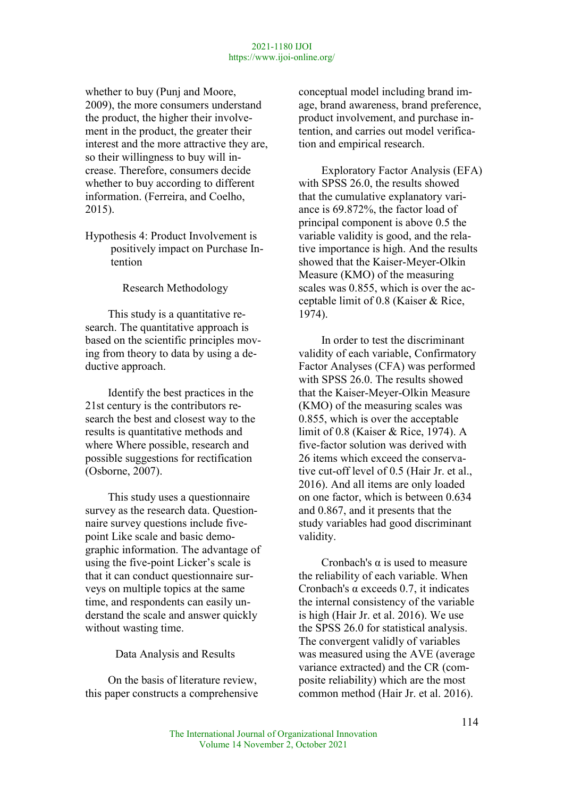whether to buy (Punj and Moore, 2009), the more consumers understand the product, the higher their involvement in the product, the greater their interest and the more attractive they are, so their willingness to buy will increase. Therefore, consumers decide whether to buy according to different information. (Ferreira, and Coelho, 2015).

Hypothesis 4: Product Involvement is positively impact on Purchase Intention

Research Methodology

This study is a quantitative research. The quantitative approach is based on the scientific principles moving from theory to data by using a deductive approach.

Identify the best practices in the 21st century is the contributors research the best and closest way to the results is quantitative methods and where Where possible, research and possible suggestions for rectification (Osborne, 2007).

This study uses a questionnaire survey as the research data. Questionnaire survey questions include fivepoint Like scale and basic demographic information. The advantage of using the five-point Licker's scale is that it can conduct questionnaire surveys on multiple topics at the same time, and respondents can easily understand the scale and answer quickly without wasting time.

Data Analysis and Results

On the basis of literature review, this paper constructs a comprehensive conceptual model including brand image, brand awareness, brand preference, product involvement, and purchase intention, and carries out model verification and empirical research.

Exploratory Factor Analysis (EFA) with SPSS 26.0, the results showed that the cumulative explanatory variance is 69.872%, the factor load of principal component is above 0.5 the variable validity is good, and the relative importance is high. And the results showed that the Kaiser-Meyer-Olkin Measure (KMO) of the measuring scales was 0.855, which is over the acceptable limit of 0.8 (Kaiser & Rice, 1974).

In order to test the discriminant validity of each variable, Confirmatory Factor Analyses (CFA) was performed with SPSS 26.0. The results showed that the Kaiser-Meyer-Olkin Measure (KMO) of the measuring scales was 0.855, which is over the acceptable limit of 0.8 (Kaiser & Rice, 1974). A five-factor solution was derived with 26 items which exceed the conservative cut-off level of 0.5 (Hair Jr. et al., 2016). And all items are only loaded on one factor, which is between 0.634 and 0.867, and it presents that the study variables had good discriminant validity.

Cronbach's  $\alpha$  is used to measure the reliability of each variable. When Cronbach's α exceeds 0.7, it indicates the internal consistency of the variable is high (Hair Jr. et al. 2016). We use the SPSS 26.0 for statistical analysis. The convergent validly of variables was measured using the AVE (average variance extracted) and the CR (composite reliability) which are the most common method (Hair Jr. et al. 2016).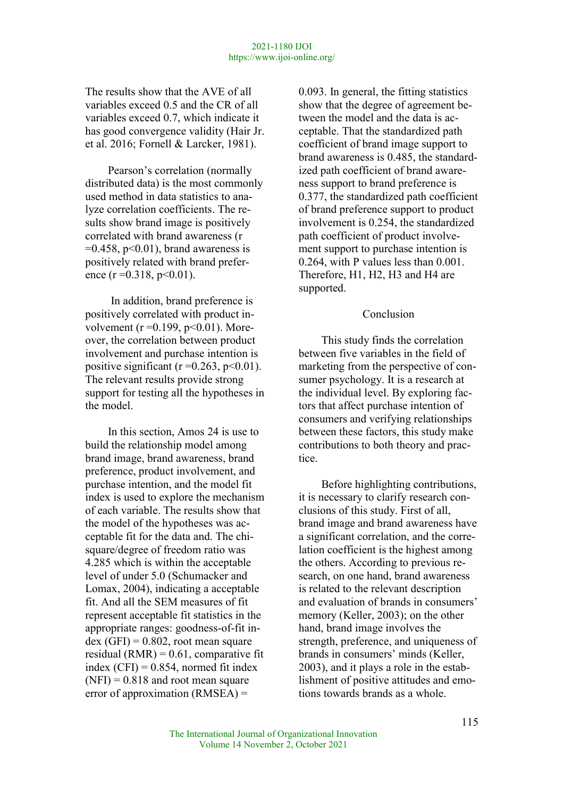The results show that the AVE of all variables exceed 0.5 and the CR of all variables exceed 0.7, which indicate it has good convergence validity (Hair Jr. et al. 2016; Fornell & Larcker, 1981).

Pearson's correlation (normally distributed data) is the most commonly used method in data statistics to analyze correlation coefficients. The results show brand image is positively correlated with brand awareness (r  $=0.458$ , p $< 0.01$ ), brand awareness is positively related with brand preference (r = 0.318, p < 0.01).

 In addition, brand preference is positively correlated with product involvement ( $r = 0.199$ ,  $p < 0.01$ ). Moreover, the correlation between product involvement and purchase intention is positive significant ( $r = 0.263$ ,  $p < 0.01$ ). The relevant results provide strong support for testing all the hypotheses in the model.

In this section, Amos 24 is use to build the relationship model among brand image, brand awareness, brand preference, product involvement, and purchase intention, and the model fit index is used to explore the mechanism of each variable. The results show that the model of the hypotheses was acceptable fit for the data and. The chisquare/degree of freedom ratio was 4.285 which is within the acceptable level of under 5.0 (Schumacker and Lomax, 2004), indicating a acceptable fit. And all the SEM measures of fit represent acceptable fit statistics in the appropriate ranges: goodness-of-fit in $dex$  (GFI) = 0.802, root mean square residual  $(RMR) = 0.61$ , comparative fit index  $(CFI) = 0.854$ , normed fit index  $(NFI) = 0.818$  and root mean square error of approximation (RMSEA) =

0.093. In general, the fitting statistics show that the degree of agreement between the model and the data is acceptable. That the standardized path coefficient of brand image support to brand awareness is 0.485, the standardized path coefficient of brand awareness support to brand preference is 0.377, the standardized path coefficient of brand preference support to product involvement is 0.254, the standardized path coefficient of product involvement support to purchase intention is 0.264, with P values less than 0.001. Therefore, H1, H2, H3 and H4 are supported.

#### Conclusion

This study finds the correlation between five variables in the field of marketing from the perspective of consumer psychology. It is a research at the individual level. By exploring factors that affect purchase intention of consumers and verifying relationships between these factors, this study make contributions to both theory and practice.

Before highlighting contributions, it is necessary to clarify research conclusions of this study. First of all, brand image and brand awareness have a significant correlation, and the correlation coefficient is the highest among the others. According to previous research, on one hand, brand awareness is related to the relevant description and evaluation of brands in consumers' memory (Keller, 2003); on the other hand, brand image involves the strength, preference, and uniqueness of brands in consumers' minds (Keller, 2003), and it plays a role in the establishment of positive attitudes and emotions towards brands as a whole.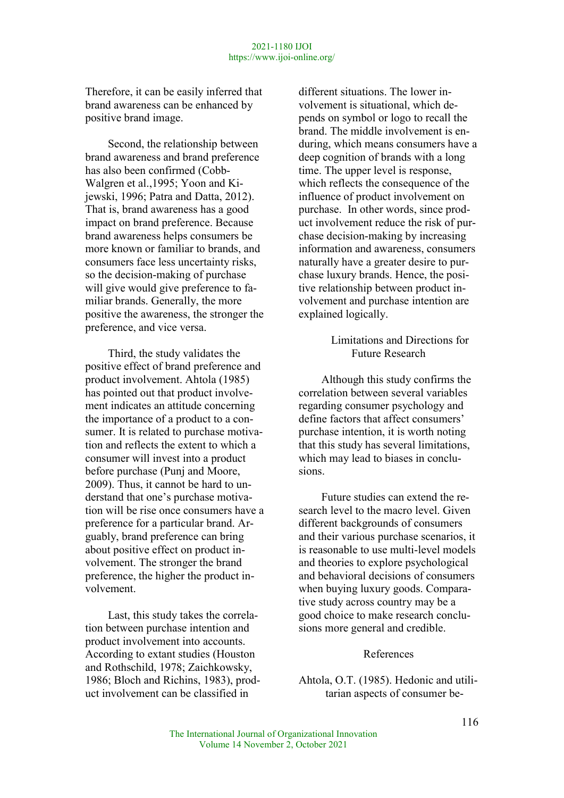Therefore, it can be easily inferred that brand awareness can be enhanced by positive brand image.

Second, the relationship between brand awareness and brand preference has also been confirmed (Cobb-Walgren et al.,1995; Yoon and Kijewski, 1996; Patra and Datta, 2012). That is, brand awareness has a good impact on brand preference. Because brand awareness helps consumers be more known or familiar to brands, and consumers face less uncertainty risks, so the decision-making of purchase will give would give preference to familiar brands. Generally, the more positive the awareness, the stronger the preference, and vice versa.

Third, the study validates the positive effect of brand preference and product involvement. Ahtola (1985) has pointed out that product involvement indicates an attitude concerning the importance of a product to a consumer. It is related to purchase motivation and reflects the extent to which a consumer will invest into a product before purchase (Punj and Moore, 2009). Thus, it cannot be hard to understand that one's purchase motivation will be rise once consumers have a preference for a particular brand. Arguably, brand preference can bring about positive effect on product involvement. The stronger the brand preference, the higher the product involvement.

Last, this study takes the correlation between purchase intention and product involvement into accounts. According to extant studies (Houston and Rothschild, 1978; Zaichkowsky, 1986; Bloch and Richins, 1983), product involvement can be classified in

different situations. The lower involvement is situational, which depends on symbol or logo to recall the brand. The middle involvement is enduring, which means consumers have a deep cognition of brands with a long time. The upper level is response, which reflects the consequence of the influence of product involvement on purchase. In other words, since product involvement reduce the risk of purchase decision-making by increasing information and awareness, consumers naturally have a greater desire to purchase luxury brands. Hence, the positive relationship between product involvement and purchase intention are explained logically.

# Limitations and Directions for Future Research

Although this study confirms the correlation between several variables regarding consumer psychology and define factors that affect consumers' purchase intention, it is worth noting that this study has several limitations, which may lead to biases in conclusions.

Future studies can extend the research level to the macro level. Given different backgrounds of consumers and their various purchase scenarios, it is reasonable to use multi-level models and theories to explore psychological and behavioral decisions of consumers when buying luxury goods. Comparative study across country may be a good choice to make research conclusions more general and credible.

#### References

Ahtola, O.T. (1985). Hedonic and utilitarian aspects of consumer be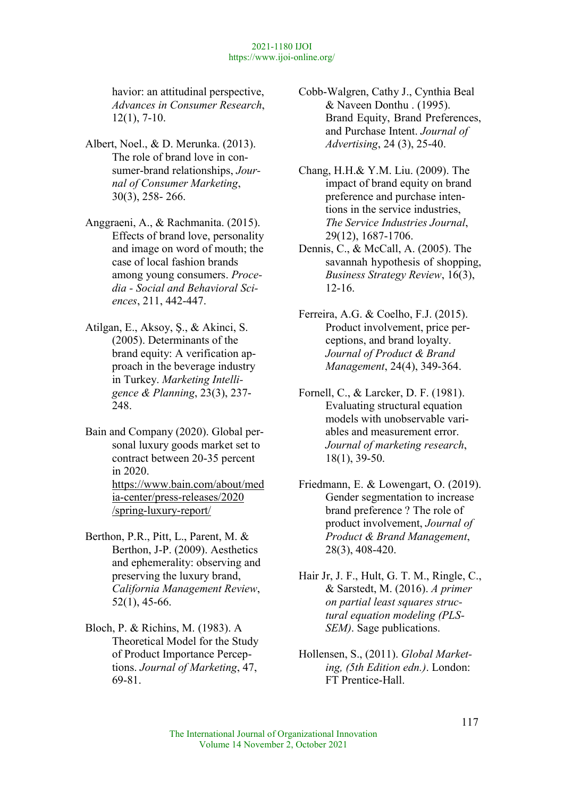havior: an attitudinal perspective, Advances in Consumer Research, 12(1), 7-10.

- Albert, Noel., & D. Merunka. (2013). The role of brand love in consumer-brand relationships, Journal of Consumer Marketing, 30(3), 258- 266.
- Anggraeni, A., & Rachmanita. (2015). Effects of brand love, personality and image on word of mouth; the case of local fashion brands among young consumers. Procedia - Social and Behavioral Sciences, 211, 442-447.
- Atilgan, E., Aksoy, Ş., & Akinci, S. (2005). Determinants of the brand equity: A verification approach in the beverage industry in Turkey. Marketing Intelligence & Planning, 23(3), 237- 248.
- Bain and Company (2020). Global personal luxury goods market set to contract between 20-35 percent in 2020. https://www.bain.com/about/med

ia-center/press-releases/2020 /spring-luxury-report/

- Berthon, P.R., Pitt, L., Parent, M. & Berthon, J‐P. (2009). Aesthetics and ephemerality: observing and preserving the luxury brand, California Management Review, 52(1), 45-66.
- Bloch, P. & Richins, M. (1983). A Theoretical Model for the Study of Product Importance Perceptions. Journal of Marketing, 47, 69-81.

Cobb-Walgren, Cathy J., Cynthia Beal & Naveen Donthu . (1995). Brand Equity, Brand Preferences, and Purchase Intent. Journal of Advertising, 24 (3), 25-40.

- Chang, H.H.& Y.M. Liu. (2009). The impact of brand equity on brand preference and purchase intentions in the service industries, The Service Industries Journal, 29(12), 1687-1706.
- Dennis, C., & McCall, A. (2005). The savannah hypothesis of shopping, Business Strategy Review, 16(3), 12-16.
- Ferreira, A.G. & Coelho, F.J. (2015). Product involvement, price perceptions, and brand loyalty. Journal of Product & Brand Management, 24(4), 349-364.
- Fornell, C., & Larcker, D. F. (1981). Evaluating structural equation models with unobservable variables and measurement error. Journal of marketing research, 18(1), 39-50.
- Friedmann, E. & Lowengart, O. (2019). Gender segmentation to increase brand preference ? The role of product involvement, Journal of Product & Brand Management, 28(3), 408-420.
- Hair Jr, J. F., Hult, G. T. M., Ringle, C., & Sarstedt, M. (2016). A primer on partial least squares structural equation modeling (PLS-SEM). Sage publications.
- Hollensen, S., (2011). Global Marketing, (5th Edition edn.). London: FT Prentice-Hall.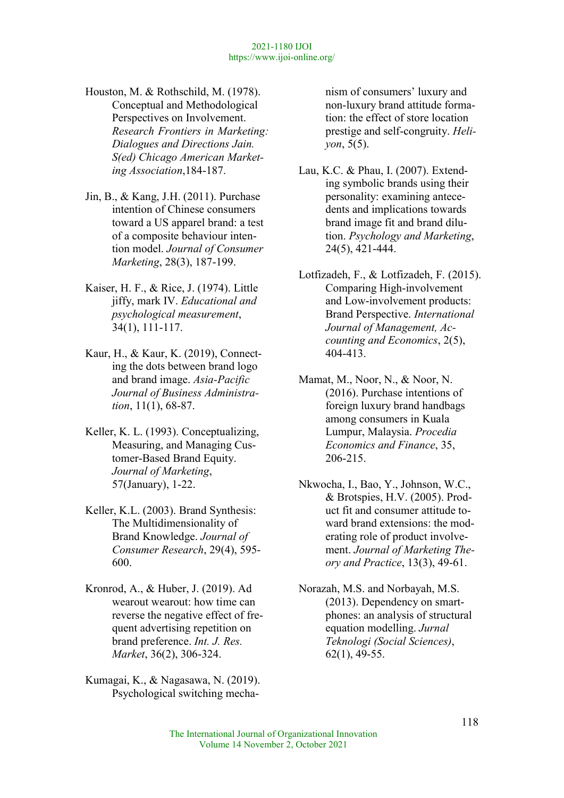- Houston, M. & Rothschild, M. (1978). Conceptual and Methodological Perspectives on Involvement. Research Frontiers in Marketing: Dialogues and Directions Jain. S(ed) Chicago American Marketing Association,184-187.
- Jin, B., & Kang, J.H. (2011). Purchase intention of Chinese consumers toward a US apparel brand: a test of a composite behaviour intention model. Journal of Consumer Marketing, 28(3), 187-199.
- Kaiser, H. F., & Rice, J. (1974). Little jiffy, mark IV. Educational and psychological measurement, 34(1), 111-117.
- Kaur, H., & Kaur, K. (2019), Connecting the dots between brand logo and brand image. Asia-Pacific Journal of Business Administration, 11(1), 68-87.
- Keller, K. L. (1993). Conceptualizing, Measuring, and Managing Customer-Based Brand Equity. Journal of Marketing, 57(January), 1-22.
- Keller, K.L. (2003). Brand Synthesis: The Multidimensionality of Brand Knowledge. Journal of Consumer Research, 29(4), 595- 600.
- Kronrod, A., & Huber, J. (2019). Ad wearout wearout: how time can reverse the negative effect of frequent advertising repetition on brand preference. Int. J. Res. Market, 36(2), 306-324.
- Kumagai, K., & Nagasawa, N. (2019). Psychological switching mecha-

nism of consumers' luxury and non-luxury brand attitude formation: the effect of store location prestige and self-congruity. Heliyon, 5(5).

- Lau, K.C. & Phau, I. (2007). Extending symbolic brands using their personality: examining antecedents and implications towards brand image fit and brand dilution. Psychology and Marketing, 24(5), 421-444.
- Lotfizadeh, F., & Lotfizadeh, F. (2015). Comparing High-involvement and Low-involvement products: Brand Perspective. International Journal of Management, Accounting and Economics, 2(5), 404-413.
- Mamat, M., Noor, N., & Noor, N. (2016). Purchase intentions of foreign luxury brand handbags among consumers in Kuala Lumpur, Malaysia. Procedia Economics and Finance, 35, 206-215.
- Nkwocha, I., Bao, Y., Johnson, W.C., & Brotspies, H.V. (2005). Product fit and consumer attitude toward brand extensions: the moderating role of product involvement. Journal of Marketing Theory and Practice, 13(3), 49-61.
- Norazah, M.S. and Norbayah, M.S. (2013). Dependency on smartphones: an analysis of structural equation modelling. Jurnal Teknologi (Social Sciences), 62(1), 49-55.